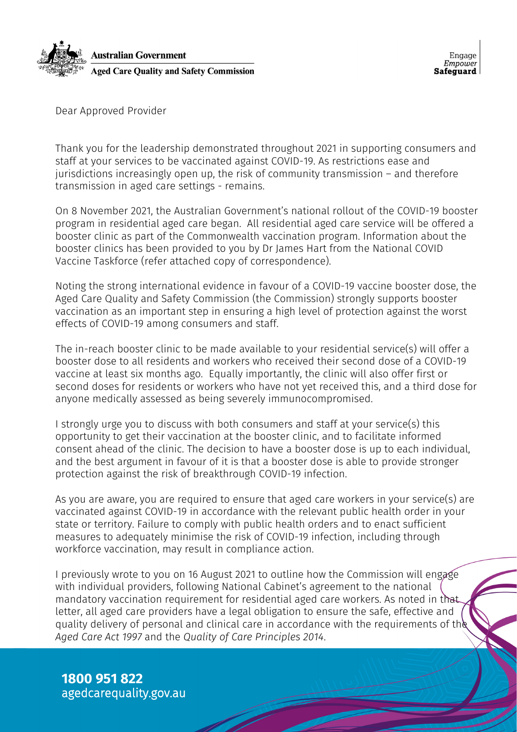

Dear Approved Provider

Thank you for the leadership demonstrated throughout 2021 in supporting consumers and staff at your services to be vaccinated against COVID-19. As restrictions ease and jurisdictions increasingly open up, the risk of community transmission – and therefore transmission in aged care settings - remains.

On 8 November 2021, the Australian Government's national rollout of the COVID-19 booster program in residential aged care began. All residential aged care service will be offered a booster clinic as part of the Commonwealth vaccination program. Information about the booster clinics has been provided to you by Dr James Hart from the National COVID Vaccine Taskforce (refer attached copy of correspondence).

Noting the strong international evidence in favour of a COVID-19 vaccine booster dose, the Aged Care Quality and Safety Commission (the Commission) strongly supports booster vaccination as an important step in ensuring a high level of protection against the worst effects of COVID-19 among consumers and staff.

The in-reach booster clinic to be made available to your residential service(s) will offer a booster dose to all residents and workers who received their second dose of a COVID-19 vaccine at least six months ago. Equally importantly, the clinic will also offer first or second doses for residents or workers who have not yet received this, and a third dose for anyone medically assessed as being severely immunocompromised.

I strongly urge you to discuss with both consumers and staff at your service(s) this opportunity to get their vaccination at the booster clinic, and to facilitate informed consent ahead of the clinic. The decision to have a booster dose is up to each individual, and the best argument in favour of it is that a booster dose is able to provide stronger protection against the risk of breakthrough COVID-19 infection.

As you are aware, you are required to ensure that aged care workers in your service(s) are vaccinated against COVID-19 in accordance with the relevant public health order in your state or territory. Failure to comply with public health orders and to enact sufficient measures to adequately minimise the risk of COVID-19 infection, including through workforce vaccination, may result in compliance action.

I previously wrote to you on 16 August 2021 to outline how the Commission will engage with individual providers, following National Cabinet's agreement to the national mandatory vaccination requirement for residential aged care workers. As noted in that letter, all aged care providers have a legal obligation to ensure the safe, effective and quality delivery of personal and clinical care in accordance with the requirements of the *Aged Care Act 1997* and the *Quality of Care Principles 2014*.

**1800 951 822** agedcarequality.gov.au